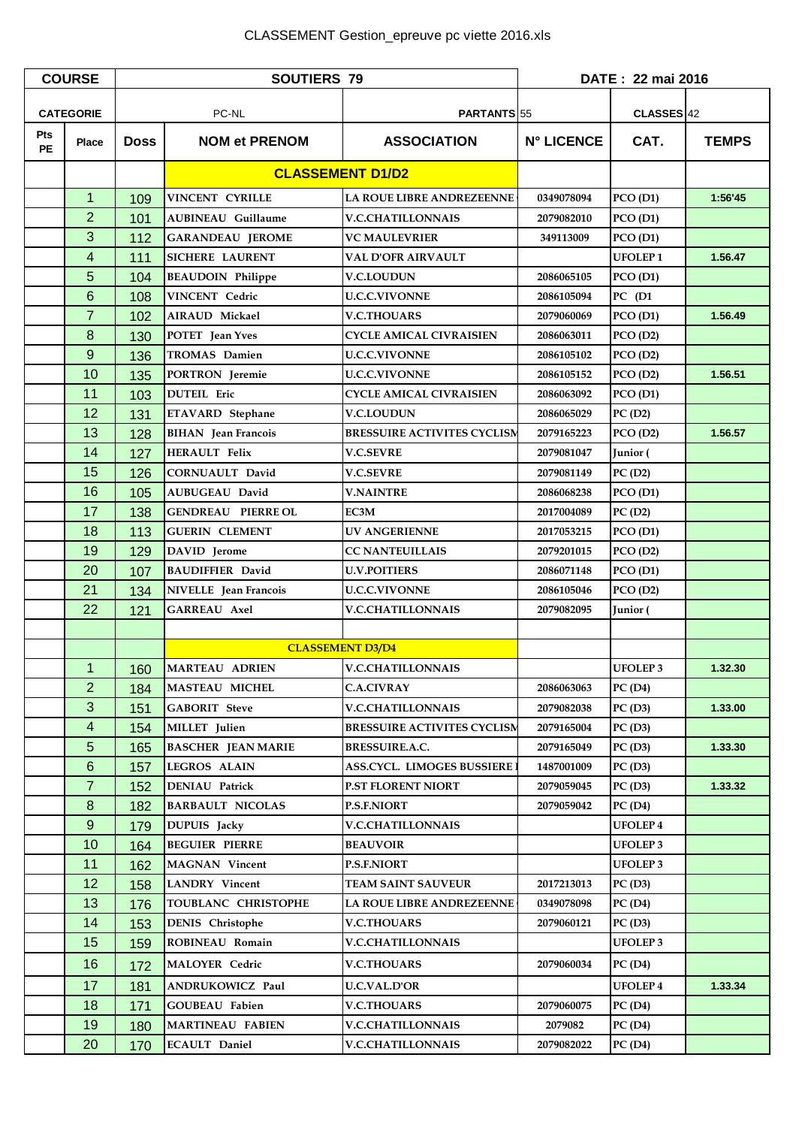| <b>COURSE</b>    |                 | <b>SOUTIERS 79</b> |                            |                                    | DATE: 22 mai 2016 |                       |              |
|------------------|-----------------|--------------------|----------------------------|------------------------------------|-------------------|-----------------------|--------------|
| <b>CATEGORIE</b> |                 | PC-NL              |                            | PARTANTS 55                        |                   | CLASSES <sup>42</sup> |              |
| Pts<br><b>PE</b> | <b>Place</b>    | <b>Doss</b>        | <b>NOM et PRENOM</b>       | <b>ASSOCIATION</b>                 | <b>N° LICENCE</b> | CAT.                  | <b>TEMPS</b> |
|                  |                 |                    | <b>CLASSEMENT D1/D2</b>    |                                    |                   |                       |              |
|                  | $\mathbf{1}$    | 109                | VINCENT CYRILLE            | LA ROUE LIBRE ANDREZEENNE          | 0349078094        | PCO(D1)               | 1:56'45      |
|                  | $\overline{2}$  | 101                | <b>AUBINEAU Guillaume</b>  | <b>V.C.CHATILLONNAIS</b>           | 2079082010        | PCO(D1)               |              |
|                  | 3               | 112                | <b>GARANDEAU JEROME</b>    | <b>VC MAULEVRIER</b>               | 349113009         | PCO(D1)               |              |
|                  | 4               | 111                | <b>SICHERE LAURENT</b>     | <b>VAL D'OFR AIRVAULT</b>          |                   | <b>UFOLEP1</b>        | 1.56.47      |
|                  | 5               | 104                | <b>BEAUDOIN Philippe</b>   | <b>V.C.LOUDUN</b>                  | 2086065105        | PCO(D1)               |              |
|                  | $6\phantom{1}6$ | 108                | VINCENT Cedric             | <b>U.C.C.VIVONNE</b>               | 2086105094        | $PC$ (D1              |              |
|                  | $\overline{7}$  | 102                | <b>AIRAUD Mickael</b>      | <b>V.C.THOUARS</b>                 | 2079060069        | PCO(D1)               | 1.56.49      |
|                  | 8               | 130                | POTET Jean Yves            | <b>CYCLE AMICAL CIVRAISIEN</b>     | 2086063011        | PCO(D2)               |              |
|                  | 9               | 136                | <b>TROMAS</b> Damien       | <b>U.C.C.VIVONNE</b>               | 2086105102        | PCO(D2)               |              |
|                  | 10              | 135                | PORTRON Jeremie            | <b>U.C.C.VIVONNE</b>               | 2086105152        | PCO(D2)               | 1.56.51      |
|                  | 11              | 103                | <b>DUTEIL</b> Eric         | <b>CYCLE AMICAL CIVRAISIEN</b>     | 2086063092        | PCO(D1)               |              |
|                  | 12              | 131                | ETAVARD Stephane           | <b>V.C.LOUDUN</b>                  | 2086065029        | PC(D2)                |              |
|                  | 13              | 128                | <b>BIHAN</b> Jean Francois | <b>BRESSUIRE ACTIVITES CYCLISM</b> | 2079165223        | PCO(D2)               | 1.56.57      |
|                  | 14              | 127                | <b>HERAULT Felix</b>       | <b>V.C.SEVRE</b>                   | 2079081047        | Junior (              |              |
|                  | 15              | 126                | <b>CORNUAULT David</b>     | <b>V.C.SEVRE</b>                   | 2079081149        | PC(D2)                |              |
|                  | 16              | 105                | <b>AUBUGEAU David</b>      | <b>V.NAINTRE</b>                   | 2086068238        | PCO(D1)               |              |
|                  | 17              | 138                | <b>GENDREAU PIERRE OL</b>  | EC3M                               | 2017004089        | PC(D2)                |              |
|                  | 18              | 113                | <b>GUERIN CLEMENT</b>      | <b>UV ANGERIENNE</b>               | 2017053215        | PCO(D1)               |              |
|                  | 19              | 129                | DAVID Jerome               | <b>CC NANTEUILLAIS</b>             | 2079201015        | PCO(D2)               |              |
|                  | 20              | 107                | <b>BAUDIFFIER David</b>    | <b>U.V.POITIERS</b>                | 2086071148        | PCO(D1)               |              |
|                  | 21              | 134                | NIVELLE Jean Francois      | <b>U.C.C.VIVONNE</b>               | 2086105046        | PCO(D2)               |              |
|                  | 22              | 121                | GARREAU Axel               | <b>V.C.CHATILLONNAIS</b>           | 2079082095        | Junior (              |              |
|                  |                 |                    |                            |                                    |                   |                       |              |
|                  |                 |                    |                            | <b>CLASSEMENT D3/D4</b>            |                   |                       |              |
|                  | 1 <sup>1</sup>  |                    | 160 MARTEAU ADRIEN         | <b>V.C.CHATILLONNAIS</b>           |                   | <b>UFOLEP 3</b>       | 1.32.30      |
|                  | $\overline{2}$  | 184                | <b>MASTEAU MICHEL</b>      | <b>C.A.CIVRAY</b>                  | 2086063063        | PC(D4)                |              |
|                  | 3               | 151                | <b>GABORIT Steve</b>       | <b>V.C.CHATILLONNAIS</b>           | 2079082038        | PC(D3)                | 1.33.00      |
|                  | 4               | 154                | MILLET Julien              | <b>BRESSUIRE ACTIVITES CYCLISM</b> | 2079165004        | PC(D3)                |              |
|                  | 5               | 165                | <b>BASCHER JEAN MARIE</b>  | <b>BRESSUIRE.A.C.</b>              | 2079165049        | PC(D3)                | 1.33.30      |
|                  | $6\phantom{1}$  | 157                | <b>LEGROS ALAIN</b>        | ASS.CYCL. LIMOGES BUSSIERE :       | 1487001009        | PC(D3)                |              |
|                  | $\overline{7}$  | 152                | <b>DENIAU Patrick</b>      | <b>P.ST FLORENT NIORT</b>          | 2079059045        | PC(D3)                | 1.33.32      |
|                  | 8               | 182                | <b>BARBAULT NICOLAS</b>    | <b>P.S.F.NIORT</b>                 | 2079059042        | PC(D4)                |              |
|                  | 9               | 179                | <b>DUPUIS</b> Jacky        | <b>V.C.CHATILLONNAIS</b>           |                   | <b>UFOLEP4</b>        |              |
|                  | 10              | 164                | <b>BEGUIER PIERRE</b>      | <b>BEAUVOIR</b>                    |                   | <b>UFOLEP3</b>        |              |
|                  | 11              | 162                | <b>MAGNAN Vincent</b>      | <b>P.S.F.NIORT</b>                 |                   | <b>UFOLEP3</b>        |              |
|                  | 12              | 158                | <b>LANDRY</b> Vincent      | <b>TEAM SAINT SAUVEUR</b>          | 2017213013        | PC(D3)                |              |
|                  | 13              | 176                | TOUBLANC CHRISTOPHE        | LA ROUE LIBRE ANDREZEENNE          | 0349078098        | PC(D4)                |              |
|                  | 14              | 153                | <b>DENIS</b> Christophe    | <b>V.C.THOUARS</b>                 | 2079060121        | PC(D3)                |              |
|                  | 15              | 159                | ROBINEAU Romain            | <b>V.C.CHATILLONNAIS</b>           |                   | <b>UFOLEP3</b>        |              |
|                  | 16              | 172                | <b>MALOYER Cedric</b>      | <b>V.C.THOUARS</b>                 | 2079060034        | PC(D4)                |              |
|                  | 17              | 181                | <b>ANDRUKOWICZ Paul</b>    | <b>U.C.VAL.D'OR</b>                |                   | <b>UFOLEP4</b>        | 1.33.34      |
|                  | 18              | 171                | <b>GOUBEAU Fabien</b>      | <b>V.C.THOUARS</b>                 | 2079060075        | PC(D4)                |              |
|                  | 19              | 180                | <b>MARTINEAU FABIEN</b>    | <b>V.C.CHATILLONNAIS</b>           | 2079082           | PC(D4)                |              |
|                  | 20              | 170                | <b>ECAULT Daniel</b>       | <b>V.C.CHATILLONNAIS</b>           | 2079082022        | PC(D4)                |              |